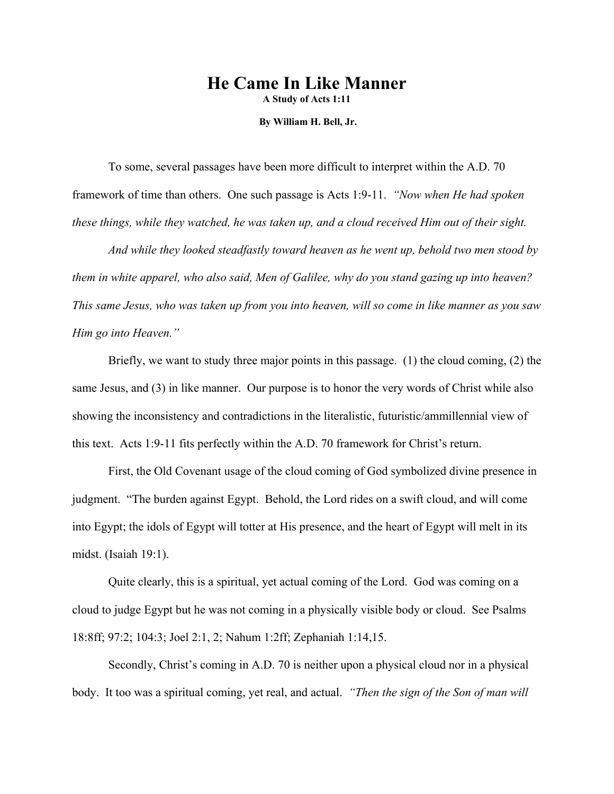## **He Came In Like Manner**

**A Study of Acts 1:11** 

 **By William H. Bell, Jr.** 

 To some, several passages have been more difficult to interpret within the A.D. 70 framework of time than others. One such passage is Acts 1:9-11. *"Now when He had spoken these things, while they watched, he was taken up, and a cloud received Him out of their sight.* 

 *And while they looked steadfastly toward heaven as he went up, behold two men stood by them in white apparel, who also said, Men of Galilee, why do you stand gazing up into heaven? This same Jesus, who was taken up from you into heaven, will so come in like manner as you saw Him go into Heaven."*

 Briefly, we want to study three major points in this passage. (1) the cloud coming, (2) the same Jesus, and (3) in like manner. Our purpose is to honor the very words of Christ while also showing the inconsistency and contradictions in the literalistic, futuristic/ammillennial view of this text. Acts 1:9-11 fits perfectly within the A.D. 70 framework for Christ's return.

 First, the Old Covenant usage of the cloud coming of God symbolized divine presence in judgment. "The burden against Egypt. Behold, the Lord rides on a swift cloud, and will come into Egypt; the idols of Egypt will totter at His presence, and the heart of Egypt will melt in its midst. (Isaiah 19:1).

 Quite clearly, this is a spiritual, yet actual coming of the Lord. God was coming on a cloud to judge Egypt but he was not coming in a physically visible body or cloud. See Psalms 18:8ff; 97:2; 104:3; Joel 2:1, 2; Nahum 1:2ff; Zephaniah 1:14,15.

 Secondly, Christ's coming in A.D. 70 is neither upon a physical cloud nor in a physical body. It too was a spiritual coming, yet real, and actual. *"Then the sign of the Son of man will*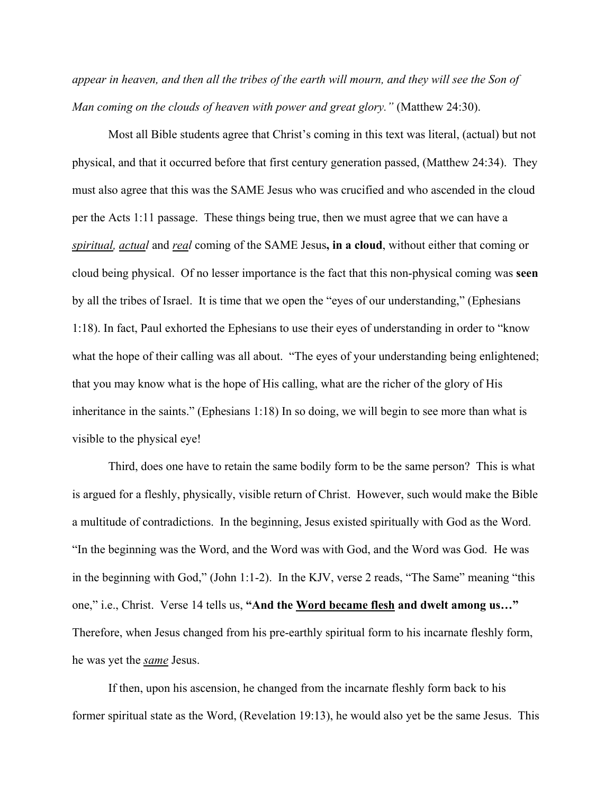*appear in heaven, and then all the tribes of the earth will mourn, and they will see the Son of Man coming on the clouds of heaven with power and great glory."* (Matthew 24:30).

 Most all Bible students agree that Christ's coming in this text was literal, (actual) but not physical, and that it occurred before that first century generation passed, (Matthew 24:34). They must also agree that this was the SAME Jesus who was crucified and who ascended in the cloud per the Acts 1:11 passage. These things being true, then we must agree that we can have a *spiritual, actual* and *real* coming of the SAME Jesus**, in a cloud**, without either that coming or cloud being physical. Of no lesser importance is the fact that this non-physical coming was **seen** by all the tribes of Israel. It is time that we open the "eyes of our understanding," (Ephesians 1:18). In fact, Paul exhorted the Ephesians to use their eyes of understanding in order to "know what the hope of their calling was all about. "The eyes of your understanding being enlightened; that you may know what is the hope of His calling, what are the richer of the glory of His inheritance in the saints." (Ephesians 1:18) In so doing, we will begin to see more than what is visible to the physical eye!

 Third, does one have to retain the same bodily form to be the same person? This is what is argued for a fleshly, physically, visible return of Christ. However, such would make the Bible a multitude of contradictions. In the beginning, Jesus existed spiritually with God as the Word. "In the beginning was the Word, and the Word was with God, and the Word was God. He was in the beginning with God," (John 1:1-2). In the KJV, verse 2 reads, "The Same" meaning "this one," i.e., Christ. Verse 14 tells us, **"And the Word became flesh and dwelt among us…"** Therefore, when Jesus changed from his pre-earthly spiritual form to his incarnate fleshly form, he was yet the *same* Jesus.

 If then, upon his ascension, he changed from the incarnate fleshly form back to his former spiritual state as the Word, (Revelation 19:13), he would also yet be the same Jesus. This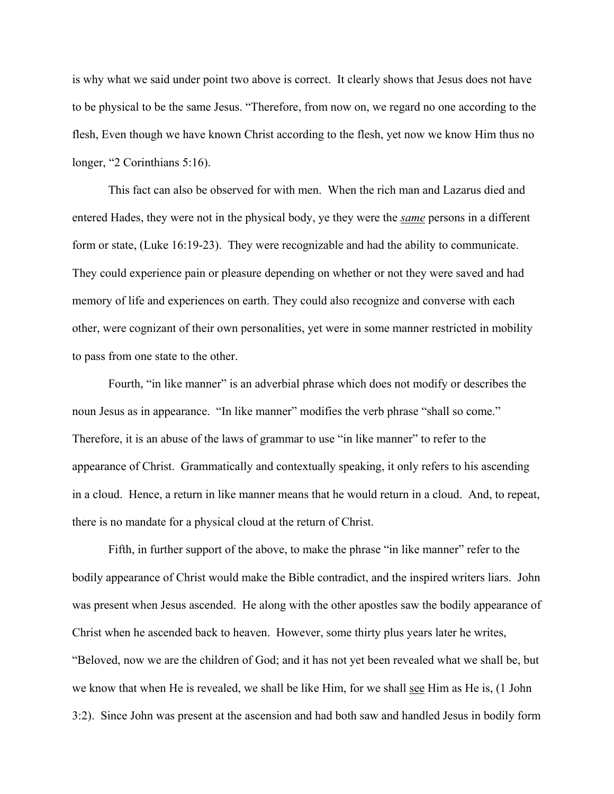is why what we said under point two above is correct. It clearly shows that Jesus does not have to be physical to be the same Jesus. "Therefore, from now on, we regard no one according to the flesh, Even though we have known Christ according to the flesh, yet now we know Him thus no longer, "2 Corinthians 5:16).

 This fact can also be observed for with men. When the rich man and Lazarus died and entered Hades, they were not in the physical body, ye they were the *same* persons in a different form or state, (Luke 16:19-23). They were recognizable and had the ability to communicate. They could experience pain or pleasure depending on whether or not they were saved and had memory of life and experiences on earth. They could also recognize and converse with each other, were cognizant of their own personalities, yet were in some manner restricted in mobility to pass from one state to the other.

 Fourth, "in like manner" is an adverbial phrase which does not modify or describes the noun Jesus as in appearance. "In like manner" modifies the verb phrase "shall so come." Therefore, it is an abuse of the laws of grammar to use "in like manner" to refer to the appearance of Christ. Grammatically and contextually speaking, it only refers to his ascending in a cloud. Hence, a return in like manner means that he would return in a cloud. And, to repeat, there is no mandate for a physical cloud at the return of Christ.

Fifth, in further support of the above, to make the phrase "in like manner" refer to the bodily appearance of Christ would make the Bible contradict, and the inspired writers liars. John was present when Jesus ascended. He along with the other apostles saw the bodily appearance of Christ when he ascended back to heaven. However, some thirty plus years later he writes, "Beloved, now we are the children of God; and it has not yet been revealed what we shall be, but we know that when He is revealed, we shall be like Him, for we shall see Him as He is, (1 John 3:2). Since John was present at the ascension and had both saw and handled Jesus in bodily form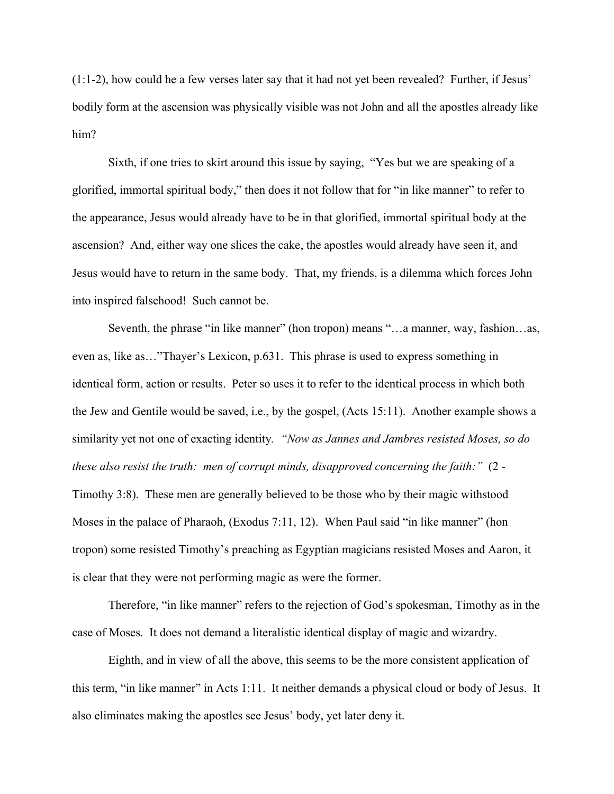(1:1-2), how could he a few verses later say that it had not yet been revealed? Further, if Jesus' bodily form at the ascension was physically visible was not John and all the apostles already like him?

 Sixth, if one tries to skirt around this issue by saying, "Yes but we are speaking of a glorified, immortal spiritual body," then does it not follow that for "in like manner" to refer to the appearance, Jesus would already have to be in that glorified, immortal spiritual body at the ascension? And, either way one slices the cake, the apostles would already have seen it, and Jesus would have to return in the same body. That, my friends, is a dilemma which forces John into inspired falsehood! Such cannot be.

Seventh, the phrase "in like manner" (hon tropon) means "...a manner, way, fashion...as, even as, like as…"Thayer's Lexicon, p.631. This phrase is used to express something in identical form, action or results. Peter so uses it to refer to the identical process in which both the Jew and Gentile would be saved, i.e., by the gospel, (Acts 15:11). Another example shows a similarity yet not one of exacting identity*. "Now as Jannes and Jambres resisted Moses, so do these also resist the truth: men of corrupt minds, disapproved concerning the faith:"* (2 - Timothy 3:8). These men are generally believed to be those who by their magic withstood Moses in the palace of Pharaoh, (Exodus 7:11, 12). When Paul said "in like manner" (hon tropon) some resisted Timothy's preaching as Egyptian magicians resisted Moses and Aaron, it is clear that they were not performing magic as were the former.

 Therefore, "in like manner" refers to the rejection of God's spokesman, Timothy as in the case of Moses. It does not demand a literalistic identical display of magic and wizardry.

 Eighth, and in view of all the above, this seems to be the more consistent application of this term, "in like manner" in Acts 1:11. It neither demands a physical cloud or body of Jesus. It also eliminates making the apostles see Jesus' body, yet later deny it.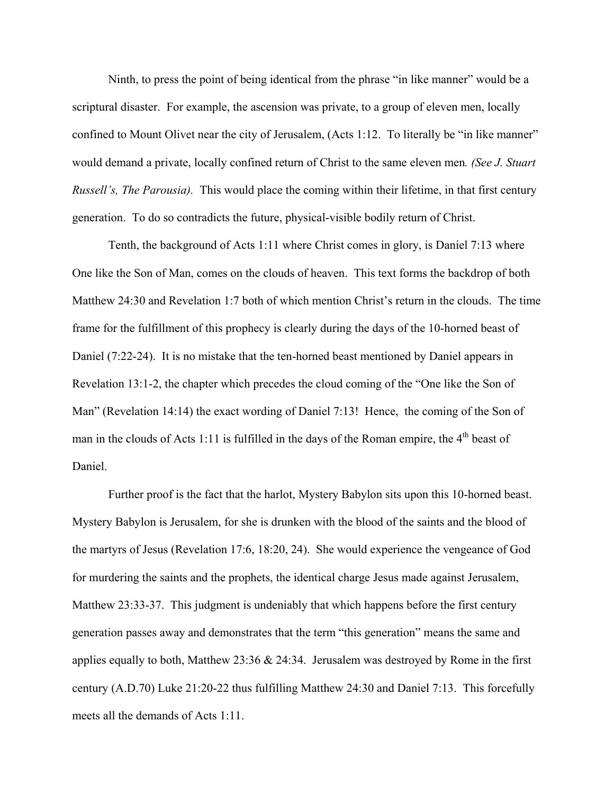Ninth, to press the point of being identical from the phrase "in like manner" would be a scriptural disaster. For example, the ascension was private, to a group of eleven men, locally confined to Mount Olivet near the city of Jerusalem, (Acts 1:12. To literally be "in like manner" would demand a private, locally confined return of Christ to the same eleven men*. (See J. Stuart Russell's, The Parousia).* This would place the coming within their lifetime, in that first century generation. To do so contradicts the future, physical-visible bodily return of Christ.

 Tenth, the background of Acts 1:11 where Christ comes in glory, is Daniel 7:13 where One like the Son of Man, comes on the clouds of heaven. This text forms the backdrop of both Matthew 24:30 and Revelation 1:7 both of which mention Christ's return in the clouds. The time frame for the fulfillment of this prophecy is clearly during the days of the 10-horned beast of Daniel (7:22-24). It is no mistake that the ten-horned beast mentioned by Daniel appears in Revelation 13:1-2, the chapter which precedes the cloud coming of the "One like the Son of Man" (Revelation 14:14) the exact wording of Daniel 7:13! Hence, the coming of the Son of man in the clouds of Acts 1:11 is fulfilled in the days of the Roman empire, the  $4<sup>th</sup>$  beast of Daniel.

 Further proof is the fact that the harlot, Mystery Babylon sits upon this 10-horned beast. Mystery Babylon is Jerusalem, for she is drunken with the blood of the saints and the blood of the martyrs of Jesus (Revelation 17:6, 18:20, 24). She would experience the vengeance of God for murdering the saints and the prophets, the identical charge Jesus made against Jerusalem, Matthew 23:33-37. This judgment is undeniably that which happens before the first century generation passes away and demonstrates that the term "this generation" means the same and applies equally to both, Matthew 23:36 & 24:34. Jerusalem was destroyed by Rome in the first century (A.D.70) Luke 21:20-22 thus fulfilling Matthew 24:30 and Daniel 7:13. This forcefully meets all the demands of Acts 1:11.